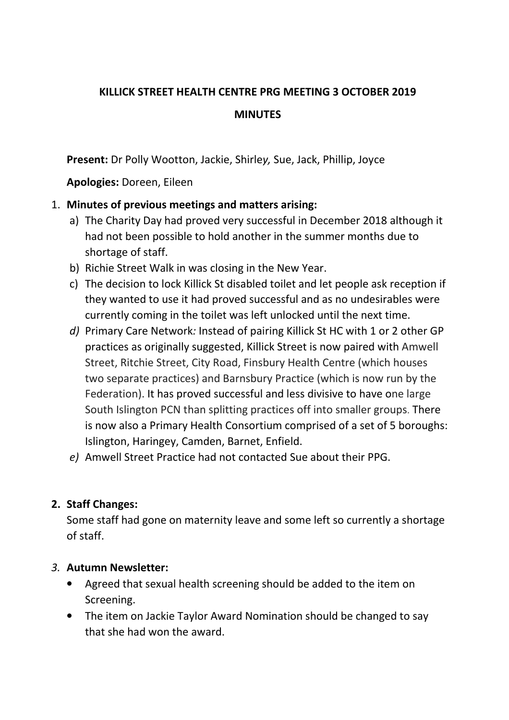# **KILLICK STREET HEALTH CENTRE PRG MEETING 3 OCTOBER 2019 MINUTES**

**Present:** Dr Polly Wootton, Jackie, Shirle*y,* Sue, Jack, Phillip, Joyce

**Apologies:** Doreen, Eileen

### 1. **Minutes of previous meetings and matters arising:**

- a) The Charity Day had proved very successful in December 2018 although it had not been possible to hold another in the summer months due to shortage of staff.
- b) Richie Street Walk in was closing in the New Year.
- c) The decision to lock Killick St disabled toilet and let people ask reception if they wanted to use it had proved successful and as no undesirables were currently coming in the toilet was left unlocked until the next time.
- *d)* Primary Care Network*:* Instead of pairing Killick St HC with 1 or 2 other GP practices as originally suggested, Killick Street is now paired with Amwell Street, Ritchie Street, City Road, Finsbury Health Centre (which houses two separate practices) and Barnsbury Practice (which is now run by the Federation). It has proved successful and less divisive to have one large South Islington PCN than splitting practices off into smaller groups. There is now also a Primary Health Consortium comprised of a set of 5 boroughs: Islington, Haringey, Camden, Barnet, Enfield.
- *e)* Amwell Street Practice had not contacted Sue about their PPG.

## **2. Staff Changes:**

Some staff had gone on maternity leave and some left so currently a shortage of staff.

### *3.* **Autumn Newsletter:**

- Agreed that sexual health screening should be added to the item on Screening.
- The item on Jackie Taylor Award Nomination should be changed to say that she had won the award.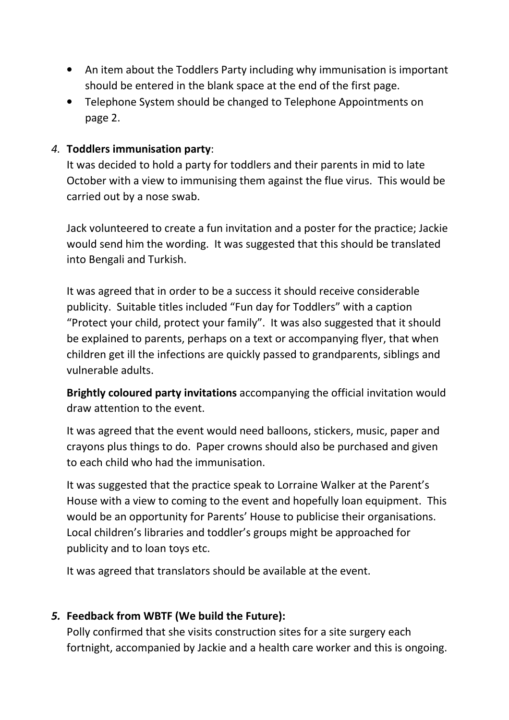- An item about the Toddlers Party including why immunisation is important should be entered in the blank space at the end of the first page.
- Telephone System should be changed to Telephone Appointments on page 2.

#### *4.* **Toddlers immunisation party**:

It was decided to hold a party for toddlers and their parents in mid to late October with a view to immunising them against the flue virus. This would be carried out by a nose swab.

Jack volunteered to create a fun invitation and a poster for the practice; Jackie would send him the wording. It was suggested that this should be translated into Bengali and Turkish.

It was agreed that in order to be a success it should receive considerable publicity. Suitable titles included "Fun day for Toddlers" with a caption "Protect your child, protect your family". It was also suggested that it should be explained to parents, perhaps on a text or accompanying flyer, that when children get ill the infections are quickly passed to grandparents, siblings and vulnerable adults.

**Brightly coloured party invitations** accompanying the official invitation would draw attention to the event.

It was agreed that the event would need balloons, stickers, music, paper and crayons plus things to do. Paper crowns should also be purchased and given to each child who had the immunisation.

It was suggested that the practice speak to Lorraine Walker at the Parent's House with a view to coming to the event and hopefully loan equipment. This would be an opportunity for Parents' House to publicise their organisations. Local children's libraries and toddler's groups might be approached for publicity and to loan toys etc.

It was agreed that translators should be available at the event.

### *5.* **Feedback from WBTF (We build the Future):**

Polly confirmed that she visits construction sites for a site surgery each fortnight, accompanied by Jackie and a health care worker and this is ongoing.